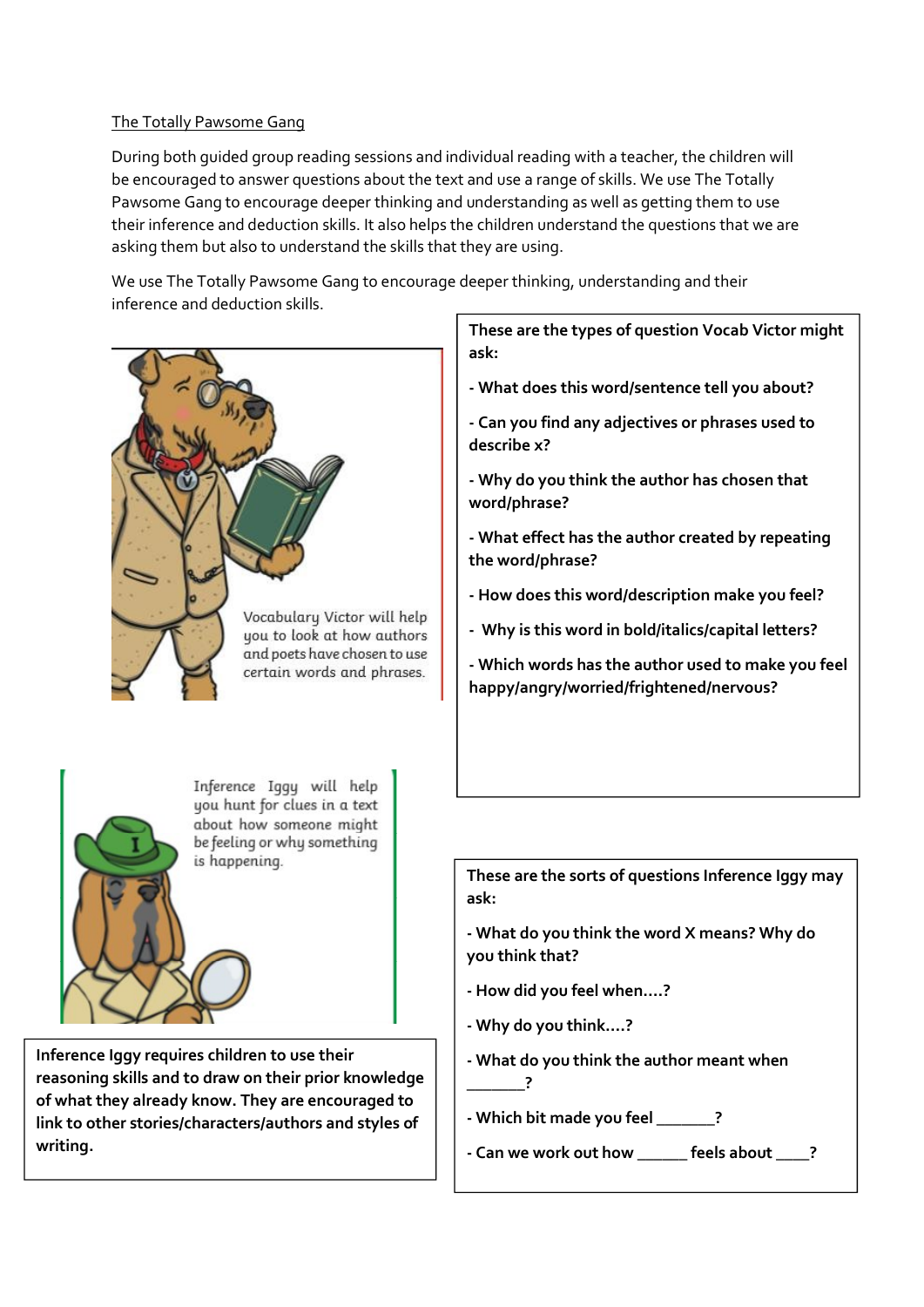## The Totally Pawsome Gang

During both guided group reading sessions and individual reading with a teacher, the children will be encouraged to answer questions about the text and use a range of skills. We use The Totally Pawsome Gang to encourage deeper thinking and understanding as well as getting them to use their inference and deduction skills. It also helps the children understand the questions that we are asking them but also to understand the skills that they are using.

We use The Totally Pawsome Gang to encourage deeper thinking, understanding and their inference and deduction skills.